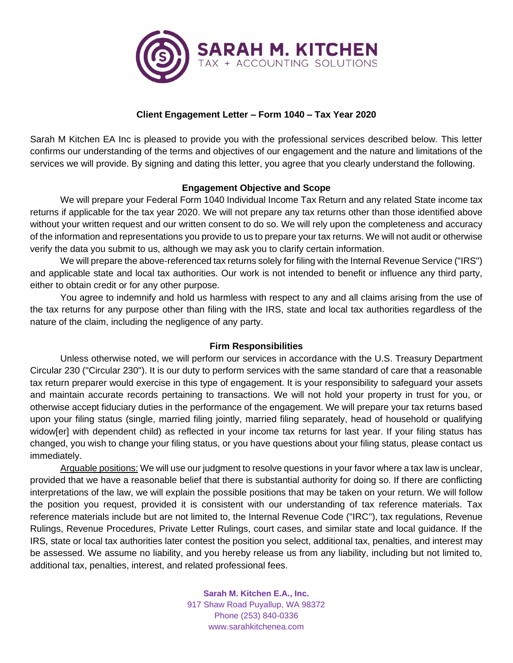

## **Client Engagement Letter – Form 1040 – Tax Year 2020**

Sarah M Kitchen EA Inc is pleased to provide you with the professional services described below. This letter confirms our understanding of the terms and objectives of our engagement and the nature and limitations of the services we will provide. By signing and dating this letter, you agree that you clearly understand the following.

### **Engagement Objective and Scope**

We will prepare your Federal Form 1040 Individual Income Tax Return and any related State income tax returns if applicable for the tax year 2020. We will not prepare any tax returns other than those identified above without your written request and our written consent to do so. We will rely upon the completeness and accuracy of the information and representations you provide to us to prepare your tax returns. We will not audit or otherwise verify the data you submit to us, although we may ask you to clarify certain information.

We will prepare the above-referenced tax returns solely for filing with the Internal Revenue Service ("IRS") and applicable state and local tax authorities. Our work is not intended to benefit or influence any third party, either to obtain credit or for any other purpose.

You agree to indemnify and hold us harmless with respect to any and all claims arising from the use of the tax returns for any purpose other than filing with the IRS, state and local tax authorities regardless of the nature of the claim, including the negligence of any party.

#### **Firm Responsibilities**

Unless otherwise noted, we will perform our services in accordance with the U.S. Treasury Department Circular 230 ("Circular 230"). It is our duty to perform services with the same standard of care that a reasonable tax return preparer would exercise in this type of engagement. It is your responsibility to safeguard your assets and maintain accurate records pertaining to transactions. We will not hold your property in trust for you, or otherwise accept fiduciary duties in the performance of the engagement. We will prepare your tax returns based upon your filing status (single, married filing jointly, married filing separately, head of household or qualifying widow[er] with dependent child) as reflected in your income tax returns for last year. If your filing status has changed, you wish to change your filing status, or you have questions about your filing status, please contact us immediately.

Arguable positions: We will use our judgment to resolve questions in your favor where a tax law is unclear, provided that we have a reasonable belief that there is substantial authority for doing so. If there are conflicting interpretations of the law, we will explain the possible positions that may be taken on your return. We will follow the position you request, provided it is consistent with our understanding of tax reference materials. Tax reference materials include but are not limited to, the Internal Revenue Code ("IRC"), tax regulations, Revenue Rulings, Revenue Procedures, Private Letter Rulings, court cases, and similar state and local guidance. If the IRS, state or local tax authorities later contest the position you select, additional tax, penalties, and interest may be assessed. We assume no liability, and you hereby release us from any liability, including but not limited to, additional tax, penalties, interest, and related professional fees.

> **Sarah M. Kitchen E.A., Inc.** 917 Shaw Road Puyallup, WA 98372 Phone (253) 840-0336 www.sarahkitchenea.com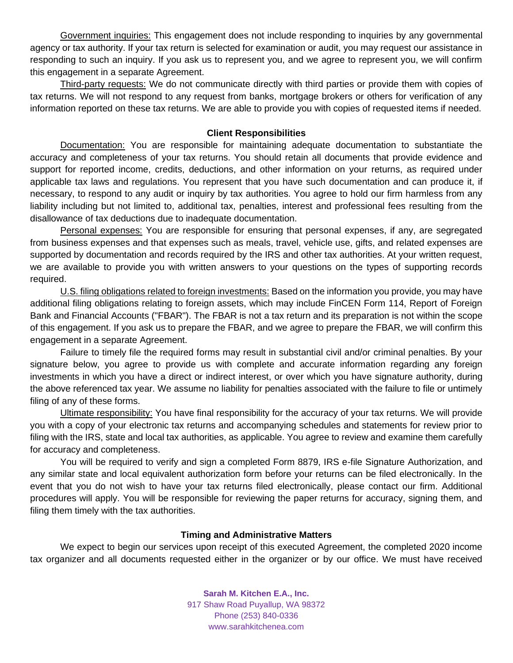Government inquiries: This engagement does not include responding to inquiries by any governmental agency or tax authority. If your tax return is selected for examination or audit, you may request our assistance in responding to such an inquiry. If you ask us to represent you, and we agree to represent you, we will confirm this engagement in a separate Agreement.

Third-party requests: We do not communicate directly with third parties or provide them with copies of tax returns. We will not respond to any request from banks, mortgage brokers or others for verification of any information reported on these tax returns. We are able to provide you with copies of requested items if needed.

#### **Client Responsibilities**

Documentation: You are responsible for maintaining adequate documentation to substantiate the accuracy and completeness of your tax returns. You should retain all documents that provide evidence and support for reported income, credits, deductions, and other information on your returns, as required under applicable tax laws and regulations. You represent that you have such documentation and can produce it, if necessary, to respond to any audit or inquiry by tax authorities. You agree to hold our firm harmless from any liability including but not limited to, additional tax, penalties, interest and professional fees resulting from the disallowance of tax deductions due to inadequate documentation.

Personal expenses: You are responsible for ensuring that personal expenses, if any, are segregated from business expenses and that expenses such as meals, travel, vehicle use, gifts, and related expenses are supported by documentation and records required by the IRS and other tax authorities. At your written request, we are available to provide you with written answers to your questions on the types of supporting records required.

U.S. filing obligations related to foreign investments: Based on the information you provide, you may have additional filing obligations relating to foreign assets, which may include FinCEN Form 114, Report of Foreign Bank and Financial Accounts ("FBAR"). The FBAR is not a tax return and its preparation is not within the scope of this engagement. If you ask us to prepare the FBAR, and we agree to prepare the FBAR, we will confirm this engagement in a separate Agreement.

Failure to timely file the required forms may result in substantial civil and/or criminal penalties. By your signature below, you agree to provide us with complete and accurate information regarding any foreign investments in which you have a direct or indirect interest, or over which you have signature authority, during the above referenced tax year. We assume no liability for penalties associated with the failure to file or untimely filing of any of these forms.

Ultimate responsibility: You have final responsibility for the accuracy of your tax returns. We will provide you with a copy of your electronic tax returns and accompanying schedules and statements for review prior to filing with the IRS, state and local tax authorities, as applicable. You agree to review and examine them carefully for accuracy and completeness.

You will be required to verify and sign a completed Form 8879, IRS e-file Signature Authorization, and any similar state and local equivalent authorization form before your returns can be filed electronically. In the event that you do not wish to have your tax returns filed electronically, please contact our firm. Additional procedures will apply. You will be responsible for reviewing the paper returns for accuracy, signing them, and filing them timely with the tax authorities.

# **Timing and Administrative Matters**

We expect to begin our services upon receipt of this executed Agreement, the completed 2020 income tax organizer and all documents requested either in the organizer or by our office. We must have received

> **Sarah M. Kitchen E.A., Inc.** 917 Shaw Road Puyallup, WA 98372 Phone (253) 840-0336 www.sarahkitchenea.com